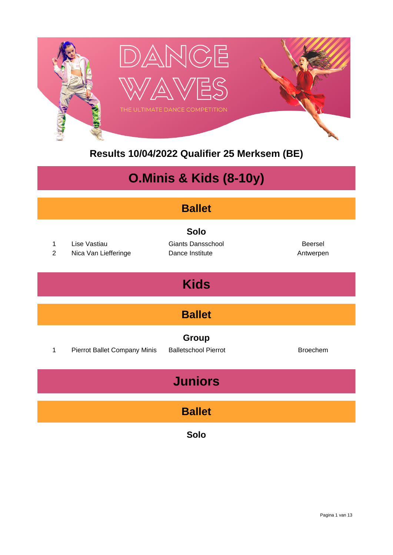

**Results 10/04/2022 Qualifier 25 Merksem (BE)**

# **O.Minis & Kids (8-10y)**

| <b>Ballet</b>                 |                                      |                                                            |                             |  |  |  |  |
|-------------------------------|--------------------------------------|------------------------------------------------------------|-----------------------------|--|--|--|--|
| $\mathbf 1$<br>$\overline{2}$ | Lise Vastiau<br>Nica Van Liefferinge | <b>Solo</b><br><b>Giants Dansschool</b><br>Dance Institute | <b>Beersel</b><br>Antwerpen |  |  |  |  |
|                               |                                      | <b>Kids</b>                                                |                             |  |  |  |  |
| <b>Ballet</b>                 |                                      |                                                            |                             |  |  |  |  |
| 1                             | Pierrot Ballet Company Minis         | Group<br><b>Balletschool Pierrot</b>                       | <b>Broechem</b>             |  |  |  |  |
| <b>Juniors</b>                |                                      |                                                            |                             |  |  |  |  |
| <b>Ballet</b>                 |                                      |                                                            |                             |  |  |  |  |
|                               |                                      | Solo                                                       |                             |  |  |  |  |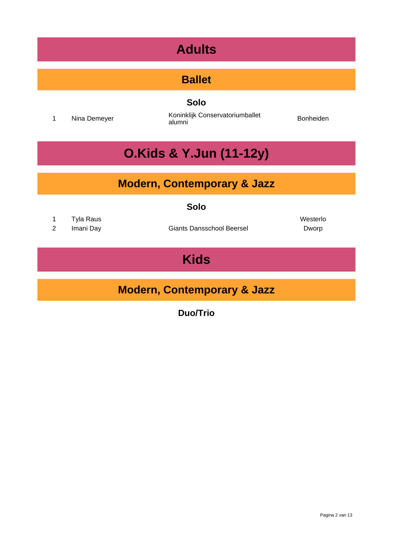# **Adults**

#### **Ballet**

**Solo**

<sup>1</sup> Nina Demeyer Koninklijk Conservatoriumballet alumni Bonheiden

# **O.Kids & Y.Jun (11-12y)**

#### **Modern, Contemporary & Jazz**

#### **Solo**

- 1 Tyla Raus **Westerlo**
- 

2 Imani Day **Giants Dansschool Beersel** Dworp

# **Kids**

#### **Modern, Contemporary & Jazz**

**Duo/Trio**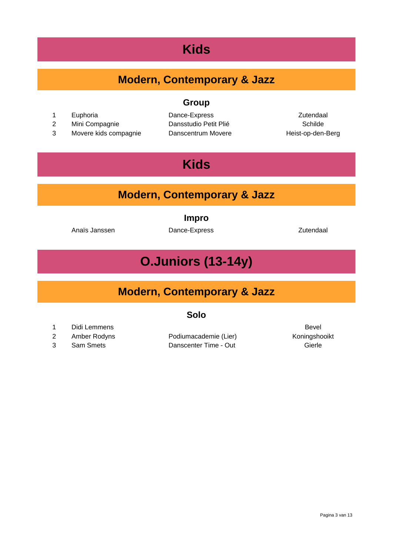### **Kids**

#### **Modern, Contemporary & Jazz**

**Group**

- 
- 
- 

1 Euphoria **Dance-Express Communist Communist Communist Communist Communist Communist Communist Communist Communist Communist Communist Communist Communist Communist Communist Communist Communist Communist Communist Comm** 2 Mini Compagnie **Dansstudio Petit Plié Compagnie** Schilde 3 Movere kids compagnie Danscentrum Movere Theist-op-den-Berg

### **Kids**

#### **Modern, Contemporary & Jazz**

**Impro**

Anaïs Janssen Dance-Express **Dance-Express** 2utendaal

# **O.Juniors (13-14y)**

#### **Modern, Contemporary & Jazz**

#### **Solo**

- 1 Didi Lemmens Bevel
- 
- 

2 Amber Rodyns **Podiumacademie (Lier)** Koningshooikt 3 Sam Smets Danscenter Time - Out Gierle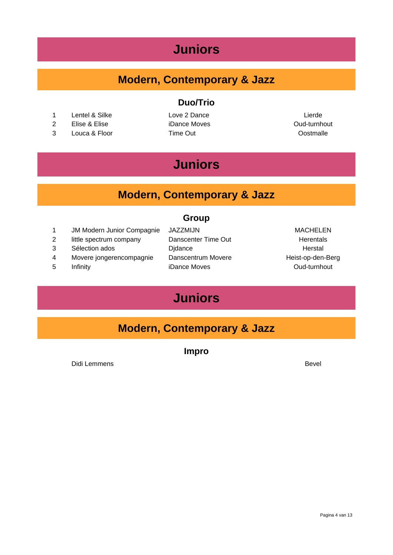#### **Juniors**

#### **Modern, Contemporary & Jazz**

- 1 Lentel & Silke Love 2 Dance Lierde Lierde
- 2 Elise & Elise iDance Moves iDance of the Cud-turnhout
- 3 Louca & Floor Time Out Oostmalle

# **Duo/Trio**

# **Juniors**

#### **Modern, Contemporary & Jazz**

#### **Group**

- 1 JM Modern Junior Compagnie JAZZMIJN MACHELEN
- 2 little spectrum company Danscenter Time Out Frementals
- 
- 4 Movere jongerencompagnie Danscentrum Movere Theist-op-den-Berg
- 
- 3 Sélection ados **Didance Didance Herstal** 5 Infinity iDance Moves **iDance The Contract Contract Contract Contract Contract Contract Contract Contract Contract Contract Contract Contract Contract Contract Contract Contract Contract Contract Contract Contract Contra**

# **Juniors**

#### **Modern, Contemporary & Jazz**

**Impro**

Didi Lemmens Bevel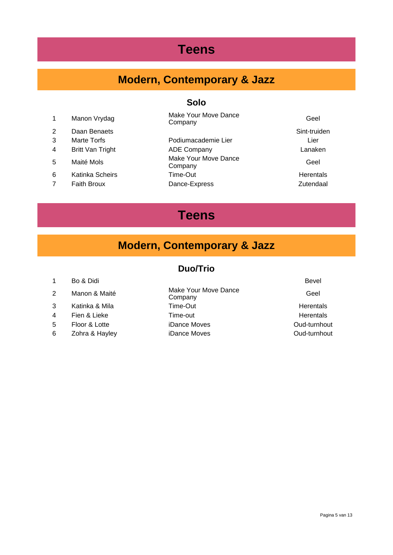### **Teens**

# **Modern, Contemporary & Jazz**

#### **Solo**

|   | Manon Vrydag            | Make Your Move Dance<br>Company | Geel             |
|---|-------------------------|---------------------------------|------------------|
| 2 | Daan Benaets            |                                 | Sint-truiden     |
| 3 | Marte Torfs             | Podiumacademie Lier             | Lier             |
| 4 | <b>Britt Van Tright</b> | <b>ADE Company</b>              | Lanaken          |
| 5 | Maité Mols              | Make Your Move Dance<br>Company | Geel             |
| 6 | Katinka Scheirs         | Time-Out                        | <b>Herentals</b> |
|   | <b>Faith Broux</b>      | Dance-Express                   | Zutendaal        |

#### **Teens**

#### **Modern, Contemporary & Jazz**

#### **Duo/Trio**

| Bo & Didi | <b>Bevel</b> |  |
|-----------|--------------|--|
|           |              |  |

- 3 Katinka & Mila Time-Out Time-Out Herentals
- 
- 
- 6 Zohra & Hayley **iDance Moves Communist Constant Constant Constant Constant Constant Constant Constant Constant Constant Constant Constant Constant Constant Constant Constant Constant Constant Constant Constant Constant**

<sup>2</sup> Manon & Maité Make Your Move Dance Company Geel 4 Fien & Lieke Time-out Time-out Figure 1 Fiendals 5 Floor & Lotte iDance Moves Oud-turnhout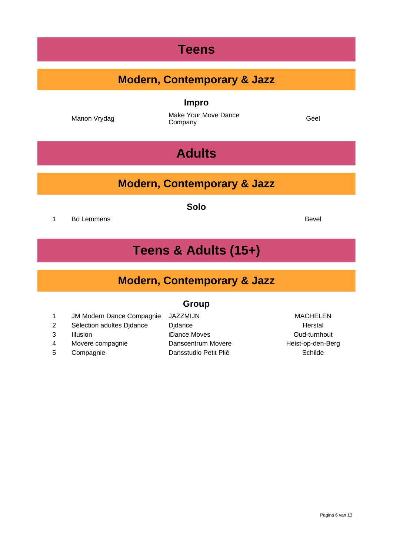#### **Teens**

#### **Modern, Contemporary & Jazz**

**Impro**

Manon Vrydag Make Your Move Dance Company Geel

**Adults**

#### **Modern, Contemporary & Jazz**

**Solo**

1 Bo Lemmens **Bevel** 

#### **Teens & Adults (15+)**

#### **Modern, Contemporary & Jazz**

#### **Group**

1 JM Modern Dance Compagnie JAZZMIJN MACHELEN

- 2 Sélection adultes Djdance Djdance Djdance Herstal
- 
- 
- 
- 3 Illusion iDance Moves Cud-turnhout 4 Movere compagnie **Danscentrum Movere Heist-op-den-Berg** 5 Compagnie Dansstudio Petit Plié Compagnie Schilde

Pagina 6 van 13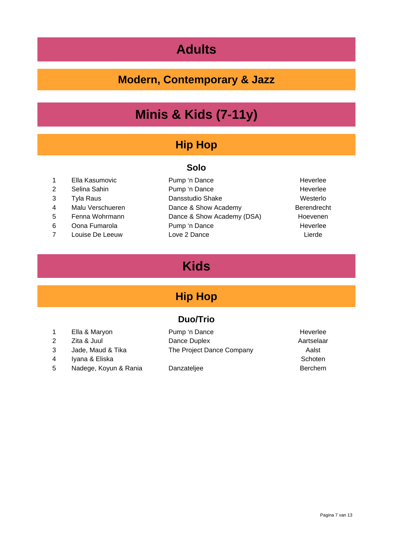# **Adults**

#### **Modern, Contemporary & Jazz**

# **Minis & Kids (7-11y)**

#### **Hip Hop**

#### **Solo**

- 1 Ella Kasumovic Pump 'n Dance Franklike Heverlee
- 
- 
- 
- 
- 
- 
- 2 Selina Sahin Pump 'n Dance Heverlee 3 Tyla Raus **Dansstudio Shake** Westerlo 4 Malu Verschueren **Dance & Show Academy** Berendrecht 5 Fenna Wohrmann Dance & Show Academy (DSA) Hoevenen 6 Oona Fumarola **Pump** 'n Dance **Heverlee** Heverlee 7 Louise De Leeuw Love 2 Dance **Lierde** Lierde
- 

### **Kids**

#### **Hip Hop**

#### **Duo/Trio**

- 
- 
- 
- 4 Iyana & Eliska Schoten Number 2014
- 5 Nadege, Koyun & Rania Danzateljee Berchem

1 Ella & Maryon **Pump 'n Dance Accession Club** 2 Zita & Juul Dance Duplex **Aartselaar** 3 Jade, Maud & Tika The Project Dance Company Aalst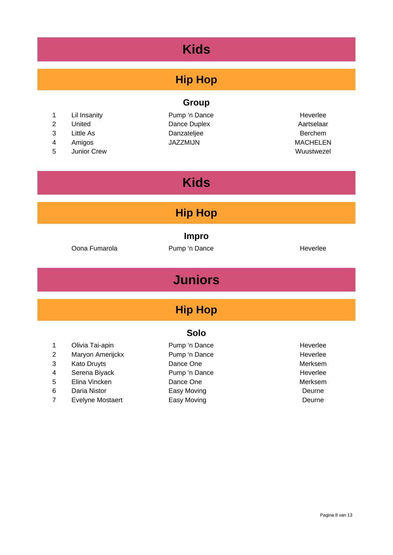# **Kids**

#### **Hip Hop**

#### 1 Lil Insanity **Pump** 'n Dance Heverlee

- 2 United Dance Duplex **Aartselaar**
- 
- 4 Amigos JAZZMIJN JAZZMIJN MACHELEN
- 5 Junior Crew Wuustwezel

# **Group**

3 Little As **Danzateljee** Berchem

# **Kids**

#### **Hip Hop**

**Impro**

Oona Fumarola **Pump** 'n Dance **Heverlee** Heverlee

### **Juniors**

#### **Hip Hop**

#### **Solo**

- 1 Olivia Tai-apin **1988** Pump 'n Dance 1988 Heverlee 2 Maryon Amerijckx Pump 'n Dance Heverlee 3 Kato Druyts **Dance One Dance One Merksem** 4 Serena Biyack Pump 'n Dance Heverlee 5 Elina Vincken **Dance One** Dance One Merksem
- 
- 7 Evelyne Mostaert **Easy Moving Easy Moving Execute Contains Easy Moving**
- 6 Daria Nistor **Easy Moving Community** Deurne
-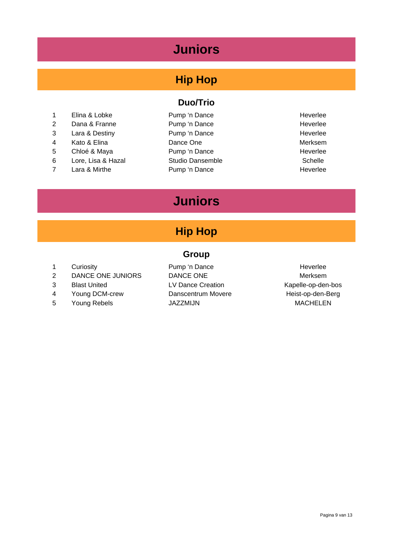### **Juniors**

#### **Hip Hop**

- 1 Elina & Lobke Pump 'n Dance Heverlee
- 
- 
- 
- 
- 
- 

#### **Duo/Trio**

- 2 Dana & Franne **Pump 'n Dance** Heverlee 3 Lara & Destiny **Pump 'n Dance Heverlee** 4 Kato & Elina **Dance One** Dance One Merksem 5 Chloé & Maya **Pump 'n Dance Heverlee** 6 Lore, Lisa & Hazal Studio Dansemble Schelle Schelle 7 Lara & Mirthe **Pump 'n Dance** Heverlee
- 

# **Juniors**

#### **Hip Hop**

#### **Group**

- 
- 2 DANCE ONE JUNIORS DANCE ONE Merksem
- 
- 4 Young DCM-crew **Danscentrum Movere** Heist-op-den-Berg
- 

1 Curiosity **Pump** 'n Dance **Heverlee** 3 Blast United LV Dance Creation Communication Kapelle-op-den-bos 5 Young Rebels **JAZZMIJN** JAZZMIJN MACHELEN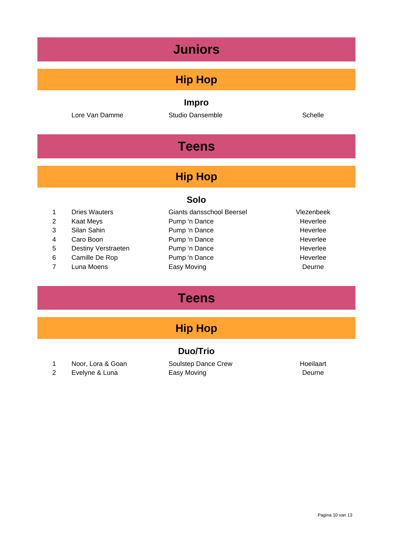### **Juniors**

#### **Hip Hop**

**Impro**

Lore Van Damme **Studio Dansemble** Schelle Schelle

# **Teens**

#### **Hip Hop**

#### **Solo**

- 1 Dries Wauters Giants dansschool Beersel Vlezenbeek
- 
- 
- 
- 
- 
- 
- 2 Kaat Meys **Pump 'n Dance** Heverlee 3 Silan Sahin Pump 'n Dance Heverlee 4 Caro Boon Pump 'n Dance Franklike Heverlee 5 Destiny Verstraeten Pump 'n Dance Franklike Heverlee 6 Camille De Rop Pump 'n Dance Franklike Heverlee 7 Luna Moens **Easy Moving** Easy Moving **Easy Moving** 
	-

# **Teens**

#### **Hip Hop**

#### **Duo/Trio**

- 1 Noor, Lora & Goan Soulstep Dance Crew Floeilaart
- 2 Evelyne & Luna **Easy Moving** Easy Moving **Example 2** Evelyne & Luna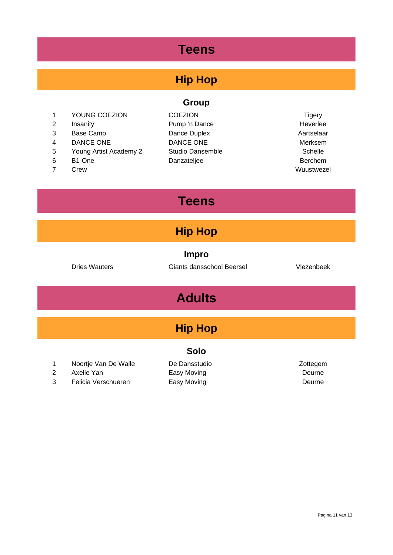# **Teens**

#### **Hip Hop**

- 1 YOUNG COEZION COEZION COEZION Tigery
- 
- 
- 
- 5 Young Artist Academy 2 Studio Dansemble Schelle Schelle
- 6 B1-One Danzateljee Berchem
- 7 Crew Wuustwezel
- **Group**
- 2 Insanity Pump 'n Dance Heverlee 3 Base Camp Dance Duplex Aartselaar 4 DANCE ONE DANCE ONE DANCE ONE Merksem
- 

# **Teens**

#### **Hip Hop**

**Impro**

Dries Wauters Giants dansschool Beersel Vlezenbeek

# **Adults**

#### **Hip Hop**

#### **Solo**

1 Noortje Van De Walle De Dansstudio **Noortje Van De Walle** 

- 2 Axelle Yan **Easy Moving Easy Moving Easy Moving**
- 3 Felicia Verschueren Easy Moving Communication Courne
-